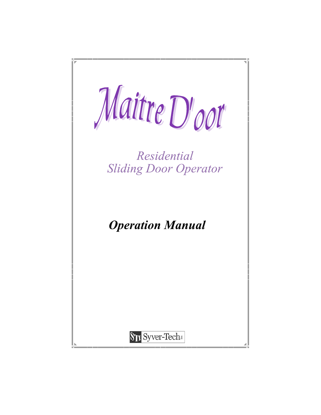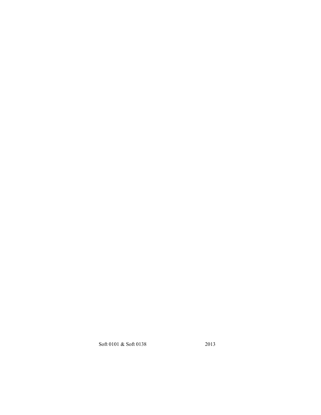Soft 0101 & Soft 0138 2013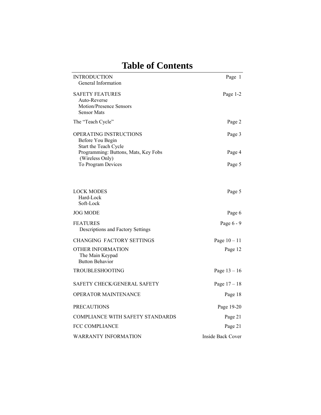| <b>INTRODUCTION</b><br>General Information                                              | Page 1            |
|-----------------------------------------------------------------------------------------|-------------------|
| <b>SAFETY FEATURES</b><br>Auto-Reverse<br>Motion/Presence Sensors<br><b>Sensor Mats</b> | Page 1-2          |
| The "Teach Cycle"                                                                       | Page 2            |
| OPERATING INSTRUCTIONS<br>Before You Begin<br>Start the Teach Cycle                     | Page 3            |
| Programming: Buttons, Mats, Key Fobs                                                    | Page 4            |
| (Wireless Only)<br>To Program Devices                                                   | Page 5            |
| <b>LOCK MODES</b><br>Hard-Lock<br>Soft-Lock                                             | Page 5            |
| <b>JOG MODE</b>                                                                         | Page 6            |
| <b>FEATURES</b><br>Descriptions and Factory Settings                                    | Page 6 - 9        |
| CHANGING FACTORY SETTINGS                                                               | Page $10 - 11$    |
| OTHER INFORMATION<br>The Main Keypad<br><b>Button Behavior</b>                          | Page 12           |
| TROUBLESHOOTING                                                                         | Page $13 - 16$    |
| SAFETY CHECK/GENERAL SAFETY                                                             | Page $17 - 18$    |
| OPERATOR MAINTENANCE                                                                    | Page 18           |
| <b>PRECAUTIONS</b>                                                                      | Page 19-20        |
| <b>COMPLIANCE WITH SAFETY STANDARDS</b>                                                 | Page 21           |
| <b>FCC COMPLIANCE</b>                                                                   | Page 21           |
| <b>WARRANTY INFORMATION</b>                                                             | Inside Back Cover |

# **Table of Contents**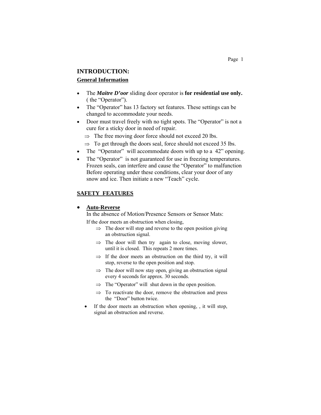## **INTRODUCTION:**

## **General Information**

- The *Maitre D'oor* sliding door operator is **for residential use only.**  ( the "Operator").
- The "Operator" has 13 factory set features. These settings can be changed to accommodate your needs.
- Door must travel freely with no tight spots. The "Operator" is not a cure for a sticky door in need of repair.
	- $\Rightarrow$  The free moving door force should not exceed 20 lbs.
	- $\Rightarrow$  To get through the doors seal, force should not exceed 35 lbs.
- The "Operator" will accommodate doors with up to a 42" opening.
- The "Operator" is not guaranteed for use in freezing temperatures. Frozen seals, can interfere and cause the "Operator" to malfunction Before operating under these conditions, clear your door of any snow and ice. Then initiate a new "Teach" cycle.

## **SAFETY FEATURES**

## **Auto-Reverse**

In the absence of Motion/Presence Sensors or Sensor Mats:

If the door meets an obstruction when closing,

- $\Rightarrow$  The door will stop and reverse to the open position giving an obstruction signal.
- $\Rightarrow$  The door will then try again to close, moving slower, until it is closed. This repeats 2 more times.
- $\Rightarrow$  If the door meets an obstruction on the third try, it will stop, reverse to the open position and stop.
- $\Rightarrow$  The door will now stay open, giving an obstruction signal every 4 seconds for approx. 30 seconds.
- $\Rightarrow$  The "Operator" will shut down in the open position.
- $\Rightarrow$  To reactivate the door, remove the obstruction and press the "Door" button twice.
- If the door meets an obstruction when opening, , it will stop, signal an obstruction and reverse.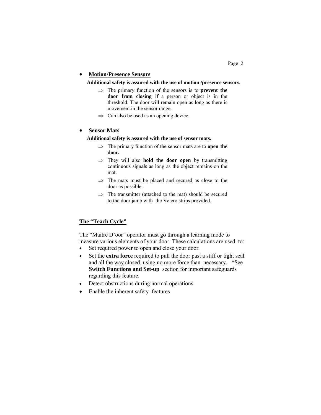## **Motion/Presence Sensors**

**Additional safety is assured with the use of motion /presence sensors.** 

- $\Rightarrow$  The primary function of the sensors is to **prevent the door from closing** if a person or object is in the threshold. The door will remain open as long as there is movement in the sensor range.
- $\implies$  Can also be used as an opening device.

## **Sensor Mats**

## **Additional safety is assured with the use of sensor mats.**

- $\Rightarrow$  The primary function of the sensor mats are to **open the door.**
- $\Rightarrow$  They will also **hold the door open** by transmitting continuous signals as long as the object remains on the mat.
- $\Rightarrow$  The mats must be placed and secured as close to the door as possible.
- $\Rightarrow$  The transmitter (attached to the mat) should be secured to the door jamb with the Velcro strips provided.

## **The "Teach Cycle"**

The "Maitre D'oor" operator must go through a learning mode to measure various elements of your door. These calculations are used to:

- Set required power to open and close your door.
- Set the **extra force** required to pull the door past a stiff or tight seal and all the way closed, using no more force than necessary. \*See **Switch Functions and Set-up** section for important safeguards regarding this feature.
- Detect obstructions during normal operations
- Enable the inherent safety features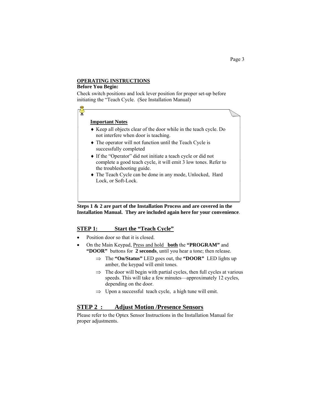## **OPERATING INSTRUCTIONS**

#### **Before You Begin:**

Check switch positions and lock lever position for proper set-up before initiating the "Teach Cycle. (See Installation Manual)

## **Important Notes** Keep all objects clear of the door while in the teach cycle. Do not interfere when door is teaching. The operator will not function until the Teach Cycle is successfully completed If the "Operator" did not initiate a teach cycle or did not complete a good teach cycle, it will emit 3 low tones. Refer to the troubleshooting guide.

The Teach Cycle can be done in any mode, Unlocked, Hard Lock, or Soft-Lock.

## **Steps 1 & 2 are part of the Installation Process and are covered in the Installation Manual. They are included again here for your convenience**.

## **STEP 1: Start the "Teach Cycle"**

- Position door so that it is closed.
- On the Main Keypad, Press and hold **both** the **"PROGRAM"** and **"DOOR"** buttons for **2 seconds**, until you hear a tone; then release.
	- The **"On/Status"** LED goes out, the **"DOOR"** LED lights up amber, the keypad will emit tones.
	- $\Rightarrow$  The door will begin with partial cycles, then full cycles at various speeds. This will take a few minutes—approximately 12 cycles, depending on the door.
	- $\Rightarrow$  Upon a successful teach cycle, a high tune will emit.

## **STEP 2 : Adjust Motion /Presence Sensors**

Please refer to the Optex Sensor Instructions in the Installation Manual for proper adjustments.

Page 3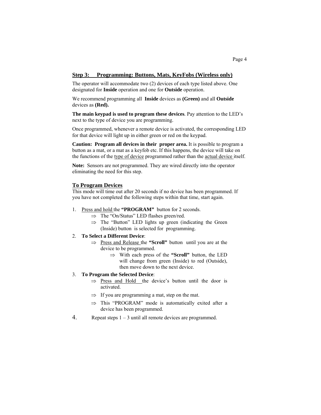## **Step 3: Programming: Buttons, Mats, KeyFobs (Wireless only)**

The operator will accommodate two (2) devices of each type listed above. One designated for **Inside** operation and one for **Outside** operation.

We recommend programming all **Inside** devices as **(Green)** and all **Outside**  devices as **(Red).** 

**The main keypad is used to program these devices**. Pay attention to the LED's next to the type of device you are programming.

Once programmed, whenever a remote device is activated, the corresponding LED for that device will light up in either green or red on the keypad.

**Caution: Program all devices in their proper area.** It is possible to program a button as a mat, or a mat as a keyfob etc. If this happens, the device will take on the functions of the type of device programmed rather than the actual device itself.

**Note:** Sensors are not programmed. They are wired directly into the operator eliminating the need for this step.

#### **To Program Devices**

This mode will time out after 20 seconds if no device has been programmed. If you have not completed the following steps within that time, start again.

- 1. Press and hold the **"PROGRAM"** button for 2 seconds.
	- $\Rightarrow$  The "On/Status" LED flashes green/red.
	- $\Rightarrow$  The "Button" LED lights up green (indicating the Green (Inside) button is selected for programming.

## 2. **To Select a Different Device**:

- ⇒ Press and Release the "Scroll" button until you are at the device to be programmed.
	- With each press of the **"Scroll"** button, the LED will change from green (Inside) to red (Outside), then move down to the next device.

## 3. **To Program the Selected Device**:

- $\Rightarrow$  Press and Hold the device's button until the door is activated.
- $\Rightarrow$  If you are programming a mat, step on the mat.
- $\Rightarrow$  This "PROGRAM" mode is automatically exited after a device has been programmed.
- 4. Repeat steps 1 3 until all remote devices are programmed.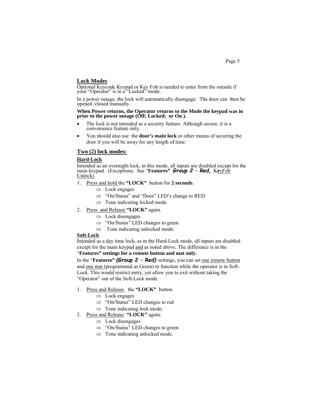## **Lock Modes**

Optional Keycode Keypad or Key Fob is needed to enter from the outside if your "Operator" is in a<sup>1</sup> Locked" mode.

In a power outage, the lock will automatically disengage. The door can then be opened /closed manually.

# **When Power returns, the Operator returns to the Mode the keypad was in prior to the power outage (Off; Locked; or On ).**

- The lock is not intended as a security feature. Although secure, it is a convenience feature only.
- You should also use the **door's main lock** or other means of securing the door if you will be away for any length of time.

## **Two (2) lock modes:**

## **Hard-Lock**

Intended as an overnight lock, in this mode, all inputs are disabled except for the main keypad. (Exceptions: See "**Features"** *Group 2 – Red,* K**e**yFob Unlock)

- 1. Press and hold the **"LOCK"** button for **2 seconds**.
	- $\Rightarrow$  Lock engages
	- $\Rightarrow$  "On/Status" and "Door" LED's change to RED
	- $\Rightarrow$  Tone indicating locked mode
- 2. Press and Release **"LOCK"** again.
	- $\Rightarrow$  Lock disengages
	- $\Rightarrow$  "On/Status" LED changes to green
	- $\implies$  Tone indicating unlocked mode.

#### **Soft-Lock**

Intended as a day time lock, as in the Hard-Lock mode, all inputs are disabled except for the main keypad and as noted above. The difference is in the

## "**Features" settings for a remote button and mat only.**

In the "**Features"** *(Group 2 – Red)* settings, you can set one remote button and one mat (programmed as Green) to function while the operator is in Soft-Lock. This would restrict entry, yet allow you to exit without taking the "Operator" out of the Soft-Lock mode.

- 1. Press and Release the **"LOCK"** button.
	- $\Rightarrow$  Lock engages
	- $\Rightarrow$  "On/Status" LED changes to red
	- $\Rightarrow$  Tone indicating lock mode.
- 2. Press and Release **"LOCK"** again:
	- $\Rightarrow$  Lock disengages
	- $\Rightarrow$  "On/Status" LED changes to green
	- $\implies$  Tone indicating unlocked mode.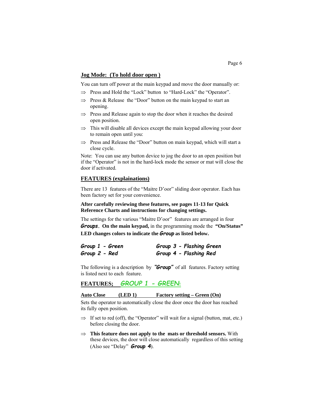## **Jog Mode: (To hold door open )**

You can turn off power at the main keypad and move the door manually or:

- $\Rightarrow$  Press and Hold the "Lock" button to "Hard-Lock" the "Operator".
- $\Rightarrow$  Press & Release the "Door" button on the main keypad to start an opening.
- $\Rightarrow$  Press and Release again to stop the door when it reaches the desired open position.
- $\Rightarrow$  This will disable all devices except the main keypad allowing your door to remain open until you:
- $\Rightarrow$  Press and Release the "Door" button on main keypad, which will start a close cycle.

Note: You can use any button device to jog the door to an open position but if the "Operator" is not in the hard-lock mode the sensor or mat will close the door if activated.

## **FEATURES (explainations)**

There are 13 features of the "Maitre D'oor" sliding door operator. Each has been factory set for your convenience.

## **After carefully reviewing these features, see pages 11-13 for Quick Reference Charts and instructions for changing settings.**

The settings for the various "Maitre D'oor" features are arranged in four *Groups.* **On the main keypad,** in the programming mode the **"On/Status" LED changes colors to indicate the** *Group* **as listed below.** 

| Group 1 - Green | Group 3 - Flashing Green |
|-----------------|--------------------------|
| Group 2 - Red   | Group 4 - Flashing Red   |

The following is a description by *"Group"* of all features. Factory setting is listed next to each feature.

**FEATURES;** *GROUP 1 - GREEN***:**

## **Auto Close (LED 1) Factory setting – Green (On)**

Sets the operator to automatically close the door once the door has reached its fully open position.

- $\Rightarrow$  If set to red (off), the "Operator" will wait for a signal (button, mat, etc.) before closing the door.
- $\Rightarrow$  This feature does not apply to the mats or threshold sensors. With these devices, the door will close automatically regardless of this setting (Also see "Delay" *Group 4*).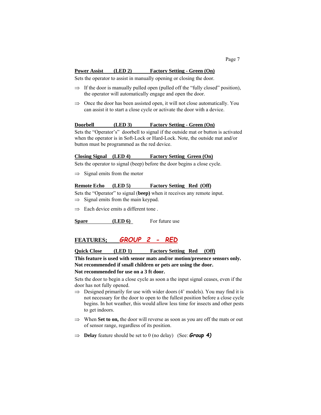#### **Power Assist (LED 2) Factory Setting - Green (On)**

Sets the operator to assist in manually opening or closing the door.

- $\Rightarrow$  If the door is manually pulled open (pulled off the "fully closed" position), the operator will automatically engage and open the door.
- $\Rightarrow$  Once the door has been assisted open, it will not close automatically. You can assist it to start a close cycle or activate the door with a device.

## **Doorbell (LED 3) Factory Setting - Green (On)**

Sets the "Operator's" doorbell to signal if the outside mat or button is activated when the operator is in Soft-Lock or Hard-Lock. Note, the outside mat and/or button must be programmed as the red device.

## **Closing Signal (LED 4) Factory Setting Green (On)**

Sets the operator to signal (beep) before the door begins a close cycle.

 $\Rightarrow$  Signal emits from the motor

### **Remote Echo (LED 5) Factory Setting Red (Off)**

Sets the "Operator" to signal (**beep)** when it receives any remote input.  $\Rightarrow$  Signal emits from the main keypad.

 $\Rightarrow$  Each device emits a different tone.

**Spare** (LED 6) For future use

## **FEATURES;** *GROUP 2 - RED*

## **Quick Close (LED 1) Factory Setting Red (Off)**

**This feature is used with sensor mats and/or motion/presence sensors only. Not recommended if small children or pets are using the door.** 

#### **Not recommended for use on a 3 ft door.**

Sets the door to begin a close cycle as soon a the input signal ceases, even if the door has not fully opened.

- $\Rightarrow$  Designed primarily for use with wider doors (4' models). You may find it is not necessary for the door to open to the fullest position before a close cycle begins. In hot weather, this would allow less time for insects and other pests to get indoors.
- $\Rightarrow$  When **Set to on,** the door will reverse as soon as you are off the mats or out of sensor range, regardless of its position.
- $\Rightarrow$  **Delay** feature should be set to 0 (no delay) (See: *Group* **4)**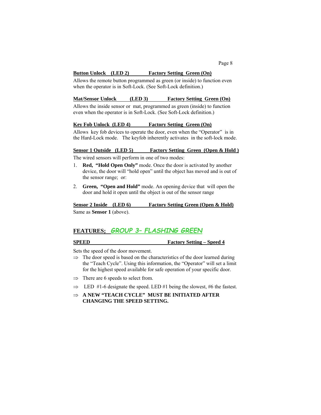## **Button Unlock (LED 2) Factory Setting Green (On)**

Allows the remote button programmed as green (or inside) to function even when the operator is in Soft-Lock. (See Soft-Lock definition.)

#### **Mat/Sensor Unlock (LED 3) Factory Setting Green (On)**

Allows the inside sensor or mat, programmed as green (inside) to function even when the operator is in Soft-Lock. (See Soft-Lock definition.)

#### **Key Fob Unlock (LED 4) Factory Setting Green (On)**

Allows key fob devices to operate the door, even when the "Operator" is in the Hard-Lock mode.The keyfob inherently activates in the soft-lock mode.

#### **Sensor 1 Outside (LED 5) Factory Setting Green (Open & Hold )**

The wired sensors will perform in one of two modes:

- 1. **Red, "Hold Open Only"** mode. Once the door is activated by another device, the door will "hold open" until the object has moved and is out of the sensor range; or:
- 2. **Green, "Open and Hold"** mode. An opening device that will open the door and hold it open until the object is out of the sensor range

# **Sensor 2 Inside (LED 6) Factory Setting Green (Open & Hold)**

Same as **Sensor 1** (above).

## **FEATURES;** *GROUP 3– FLASHING GREEN*

#### **SPEED** Factory Setting – Speed 4

Sets the speed of the door movement.

- $\Rightarrow$  The door speed is based on the characteristics of the door learned during the "Teach Cycle". Using this information, the "Operator" will set a limit for the highest speed available for safe operation of your specific door.
- $\Rightarrow$  There are 6 speeds to select from.
- $\Rightarrow$  LED #1-6 designate the speed. LED #1 being the slowest, #6 the fastest.
- $\Rightarrow$  **A NEW "TEACH CYCLE" MUST BE INITIATED AFTER CHANGING THE SPEED SETTING.**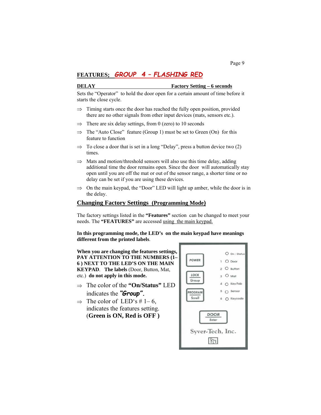## **FEATURES;** *GROUP 4 – FLASHING RED*

#### **DELAY Factory Setting – 6 seconds**

Sets the "Operator" to hold the door open for a certain amount of time before it starts the close cycle.

- $\Rightarrow$  Timing starts once the door has reached the fully open position, provided there are no other signals from other input devices (mats, sensors etc.).
- $\Rightarrow$  There are six delay settings, from 0 (zero) to 10 seconds
- $\Rightarrow$  The "Auto Close" feature (Group 1) must be set to Green (On) for this feature to function
- $\Rightarrow$  To close a door that is set in a long "Delay", press a button device two (2) times.
- $\implies$  Mats and motion/threshold sensors will also use this time delay, adding additional time the door remains open. Since the door will automatically stay open until you are off the mat or out of the sensor range, a shorter time or no delay can be set if you are using these devices.
- $\Rightarrow$  On the main keypad, the "Door" LED will light up amber, while the door is in the delay.

## **Changing Factory Settings (Programming Mode)**

The factory settings listed in the **"Features"** section can be changed to meet your needs. The **"FEATURES"** are accessed using the main keypad.

**In this programming mode, the LED's on the main keypad have meanings different from the printed labels**.

**When you are changing the features settings, PAY ATTENTION TO THE NUMBERS (1– 6 ) NEXT TO THE LED'S ON THE MAIN KEYPAD**. **The labels** (Door, Button, Mat, etc.) **do not apply in this mode.** 

- The color of the **"On/Status"** LED indicates the *"Group".*
- $\Rightarrow$  The color of LED's # 1–6, indicates the features setting. (**Green is ON, Red is OFF )**

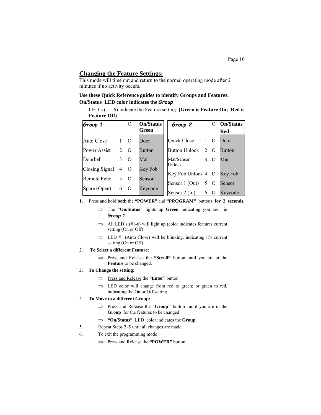## **Changing the Feature Settings:**

This mode will time out and return to the normal operating mode after 2 minutes if no activity occurs.

## **Use these Quick Reference guides to identify Groups and Features. On/Status LED color indicates the** *Group*

 LED's (1 – 6) indicate the Feature setting: **(Green is Feature On; Red is Feature Off)** 

| Group 1        |                | $\theta$       | <b>On/Status</b> | Group 2                      |               | $\mathbf{\Omega}$ | <b>On/Status</b> |
|----------------|----------------|----------------|------------------|------------------------------|---------------|-------------------|------------------|
|                |                |                | Green            |                              |               |                   | Red              |
| Auto Close     |                | $\Omega$       | Door             | Quick Close                  | $\mathbf{1}$  | $\overline{O}$    | Door             |
| Power Assist   | $\overline{2}$ | $\Omega$       | <b>Button</b>    | <b>Button Unlock</b>         |               | $2\Omega$         | <b>Button</b>    |
| Doorbell       | 3              | $\Omega$       | Mat              | Mat/Sensor                   | $\mathcal{F}$ | $\Omega$          | Mat              |
| Closing Signal | 4              | $\overline{0}$ | Key Fob          | Unlock<br>Key Fob Unlock 4 O |               |                   | Key Fob          |
| Remote Echo    | 5.             | $\Omega$       | Sensor           | Sensor 1 (Out)               |               | 5 O               | Sensor           |
| Spare (Open)   | 6              |                | Keycode          | Sensor 2 (In)                | 6             | $\theta$          | Keycode          |

- **1.** Press and hold **both** the **"POWER"** and **"PROGRAM"** buttons **for 2 seconds.** 
	- The **"On/Status"** lights up **Green** indicating you are in *Group 1*.
	- $\implies$  All LED's (#1-6) will light up (color indicates features current setting (On or Off)
	- $\implies$  LED #1 (Auto Close) will be blinking, indicating it's current setting (On or Off)

#### 2. **To Select a different Feature:**

⇒ Press and Release the "Scroll" button until you are at the **Feature** to be changed.

#### **3. To Change the setting:**

- Press and Release the "**Enter**" button.
- $\implies$  LED color will change from red to green; or green to red, indicating the On or Off setting.

#### 4. **To Move to a different Group:**

- ⇒ Press and Release the "Group" button until you are in the **Group** for the features to be changed.
- **"On/Status"** LED color indicates the **Group.**
- 5. Repeat Steps 2–5 until all changes are made.
- 6. To exit the programming mode :
	- Press and Release the **"POWER"** button.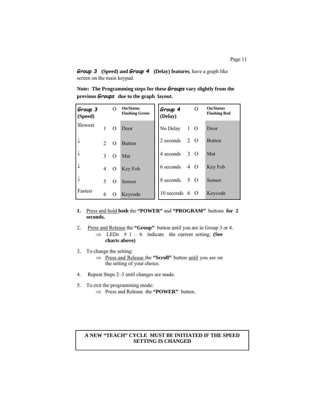*Group 3* **(Speed) and** *Group 4* **(Delay) features**, have a graph like screen on the main keypad.

**Note: The Programming steps for these** *Groups* **vary slightly from the previous** *Groups* **due to the graph layout.** 

| Group 3<br>(Speed) |                | O        | On/Status<br><b>Flashing Green</b> | Group 4<br>(Delay)   |   | O         | On/Status<br><b>Flashing Red</b> |
|--------------------|----------------|----------|------------------------------------|----------------------|---|-----------|----------------------------------|
| Slowest            | 1              | $\Omega$ | Door                               | No Delay             | 1 | $\Omega$  | Door                             |
| ↓                  | $\mathfrak{D}$ | $\Omega$ | <b>Button</b>                      | 2 seconds            | 2 | $\Omega$  | <b>Button</b>                    |
| $\downarrow$       | 3              | O        | Mat                                | 4 seconds            |   | $3\Omega$ | Mat                              |
| $\downarrow$       | $\overline{4}$ | $\rm{O}$ | Key Fob                            | 6 seconds            |   | 4 O       | Key Fob                          |
| ↓                  | 5              | O        | Sensor                             | 8 seconds            |   | 5 O       | Sensor                           |
| Fastest            | 6              | O        | Keycode                            | 10 seconds $6\Omega$ |   |           | Keycode                          |

- **1.** Press and hold **both** the **"POWER"** and **"PROGRAM"** buttons **for 2 seconds.**
- 2. Press and Release the **"Group"** button until you are in Group 3 or 4.  $\Rightarrow$  LEDs # 1 – 6 indicate the current setting. **(See**) **charts above)**
- 3. To change the setting: ⇒ Press and Release the "Scroll" button until you are on the setting of your choice.
- 4. Repeat Steps 2–3 until changes are made.
- 5. To exit the programming mode: Press and Release the **"POWER"** button.

## **A NEW "TEACH" CYCLE MUST BE INITIATED IF THE SPEED SETTING IS CHANGED**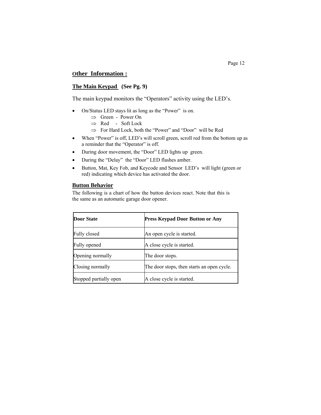## **Other Information :**

## **The Main Keypad (See Pg. 9)**

The main keypad monitors the "Operators" activity using the LED's.

- On/Status LED stays lit as long as the "Power" is on.
	- $\Rightarrow$  Green Power On
	- $\Rightarrow$  Red Soft Lock
	- $\Rightarrow$  For Hard Lock, both the "Power" and "Door" will be Red
- When "Power" is off, LED's will scroll green, scroll red from the bottom up as a reminder that the "Operator" is off.
- During door movement, the "Door" LED lights up green.
- During the "Delay" the "Door" LED flashes amber.
- Button, Mat, Key Fob, and Keycode and Sensor LED's will light (green or red) indicating which device has activated the door.

## **Button Behavior**

The following is a chart of how the button devices react. Note that this is the same as an automatic garage door opener.

| <b>Door State</b>      | <b>Press Keypad Door Button or Any</b>     |
|------------------------|--------------------------------------------|
| Fully closed           | An open cycle is started.                  |
| Fully opened           | A close cycle is started.                  |
| Opening normally       | The door stops.                            |
| Closing normally       | The door stops, then starts an open cycle. |
| Stopped partially open | A close cycle is started.                  |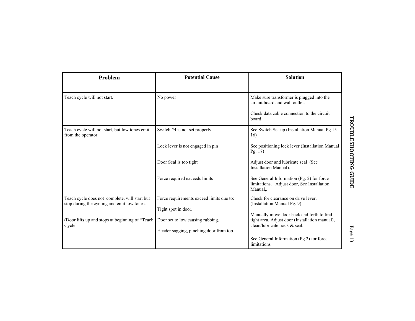| Problem                                                                                      | <b>Potential Cause</b>                                          | <b>Solution</b>                                                                                                                     |
|----------------------------------------------------------------------------------------------|-----------------------------------------------------------------|-------------------------------------------------------------------------------------------------------------------------------------|
| Teach cycle will not start.                                                                  | No power                                                        | Make sure transformer is plugged into the<br>circuit board and wall outlet.<br>Check data cable connection to the circuit<br>board. |
| Teach cycle will not start, but low tones emit<br>from the operator.                         | Switch #4 is not set properly.                                  | See Switch Set-up (Installation Manual Pg 15-<br>16)                                                                                |
|                                                                                              | Lock lever is not engaged in pin                                | See positioning lock lever (Installation Manual<br>Pg. 17                                                                           |
|                                                                                              | Door Seal is too tight                                          | Adjust door and lubricate seal (See<br>Installation Manual).                                                                        |
|                                                                                              | Force required exceeds limits                                   | See General Information (Pg. 2) for force<br>limitations. Adjust door, See Installation<br>Manual,.                                 |
| Teach cycle does not complete, will start but<br>stop during the cycling and emit low tones. | Force requirements exceed limits due to:<br>Tight spot in door. | Check for clearance on drive lever,<br>(Installation Manual Pg. 9)<br>Manually move door back and forth to find                     |
| (Door lifts up and stops at beginning of "Teach Door set to low causing rubbing.<br>Cycle".  | Header sagging, pinching door from top.                         | tight area. Adjust door (Installation manual),<br>clean/lubricate track $&$ seal.<br>See General Information (Pg 2) for force       |
|                                                                                              |                                                                 | limitations                                                                                                                         |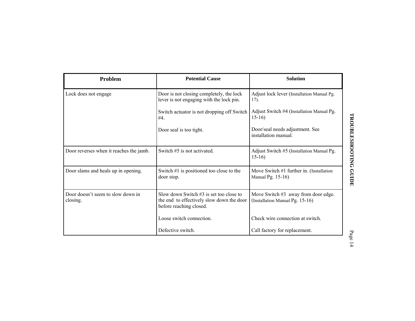| Problem                                       | <b>Potential Cause</b>                                                                                            | <b>Solution</b>                                                          |
|-----------------------------------------------|-------------------------------------------------------------------------------------------------------------------|--------------------------------------------------------------------------|
| Lock does not engage                          | Door is not closing completely, the lock<br>lever is not engaging with the lock pin.                              | Adjust lock lever (Installation Manual Pg.<br>17).                       |
|                                               | Switch actuator is not dropping off Switch<br>#4.                                                                 | Adjust Switch #4 (Installation Manual Pg.<br>$15-16$                     |
|                                               | Door seal is too tight.                                                                                           | Door/seal needs adjustment. See<br>installation manual                   |
| Door reverses when it reaches the jamb.       | Switch #5 is not activated.                                                                                       | Adjust Switch #5 (Installation Manual Pg.<br>$15-16$                     |
| Door slams and heals up in opening.           | Switch $#1$ is positioned too close to the<br>door stop.                                                          | Move Switch $#1$ further in. (Installation<br>Manual Pg. 15-16)          |
| Door doesn't seem to slow down in<br>closing. | Slow down Switch $#3$ is set too close to<br>the end to effectively slow down the door<br>before reaching closed. | Move Switch $#3$ away from door edge.<br>(Installation Manual Pg. 15-16) |
|                                               | Loose switch connection.                                                                                          | Check wire connection at switch.                                         |
|                                               | Defective switch.                                                                                                 | Call factory for replacement.                                            |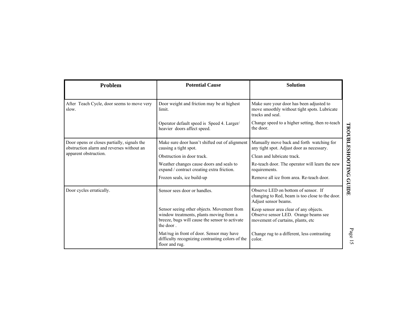| Problem                                                                                  | <b>Potential Cause</b>                                                                                                                               |                                                                                                                      |                        |
|------------------------------------------------------------------------------------------|------------------------------------------------------------------------------------------------------------------------------------------------------|----------------------------------------------------------------------------------------------------------------------|------------------------|
|                                                                                          |                                                                                                                                                      |                                                                                                                      |                        |
| After Teach Cycle, door seems to move very<br>slow.                                      | Door weight and friction may be at highest<br>limit.                                                                                                 | Make sure your door has been adjusted to<br>move smoothly without tight spots. Lubricate<br>tracks and seal.         |                        |
|                                                                                          | Operator default speed is Speed 4. Larger/<br>heavier doors affect speed.                                                                            | Change speed to a higher setting, then re-teach<br>the door.                                                         |                        |
| Door opens or closes partially, signals the<br>obstruction alarm and reverses without an | Make sure door hasn't shifted out of alignment<br>causing a tight spot.                                                                              | Manually move back and forth watching for<br>any tight spot. Adjust door as necessary.                               | TROUBLESHOOTING GUIDE  |
| apparent obstruction.                                                                    | Obstruction in door track.                                                                                                                           | Clean and lubricate track.                                                                                           |                        |
|                                                                                          | Weather changes cause doors and seals to<br>expand / contract creating extra friction.                                                               | Re-teach door. The operator will learn the new<br>requirements.                                                      |                        |
|                                                                                          | Frozen seals, ice build-up                                                                                                                           | Remove all ice from area. Re-teach door.                                                                             |                        |
| Door cycles erratically.                                                                 | Sensor sees door or handles.                                                                                                                         | Observe LED on bottom of sensor. If<br>changing to Red, beam is too close to the door.<br>Adjust sensor beams.       |                        |
|                                                                                          | Sensor seeing other objects. Movement from<br>window treatments, plants moving from a<br>breeze, bugs will cause the sensor to activate<br>the door. | Keep sensor area clear of any objects.<br>Observe sensor LED. Orange beams see<br>movement of curtains, plants, etc. |                        |
|                                                                                          | Mat/rug in front of door. Sensor may have<br>difficulty recognizing contrasting colors of the<br>floor and rug.                                      | Change rug to a different, less contrasting<br>color.                                                                | Page<br>$\overline{5}$ |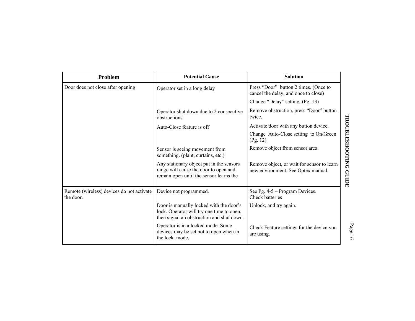| Problem                                                | <b>Potential Cause</b>                                                                                                            | <b>Solution</b>                                                                                           |
|--------------------------------------------------------|-----------------------------------------------------------------------------------------------------------------------------------|-----------------------------------------------------------------------------------------------------------|
| Door does not close after opening                      | Operator set in a long delay                                                                                                      | Press "Door" button 2 times. (Once to<br>cancel the delay, and once to close)                             |
|                                                        |                                                                                                                                   | Change "Delay" setting (Pg. 13)                                                                           |
|                                                        | Operator shut down due to 2 consecutive<br>obstructions.                                                                          | Remove obstruction, press "Door" button<br>twice.                                                         |
|                                                        | Auto-Close feature is off                                                                                                         | Activate door with any button device.                                                                     |
|                                                        |                                                                                                                                   | Change Auto-Close setting to On/Green<br>(Pg. 12)                                                         |
|                                                        | Sensor is seeing movement from<br>something. (plant, curtains, etc.)                                                              | Remove object from sensor area.                                                                           |
|                                                        | Any stationary object put in the sensors<br>range will cause the door to open and<br>remain open until the sensor learns the      | TROUBLESHOOTING GUIDE<br>Remove object, or wait for sensor to learn<br>new environment. See Optex manual. |
| Remote (wireless) devices do not activate<br>the door. | Device not programmed.                                                                                                            | See Pg. $4-5$ – Program Devices.<br><b>Check batteries</b>                                                |
|                                                        | Door is manually locked with the door's<br>lock. Operator will try one time to open,<br>then signal an obstruction and shut down. | Unlock, and try again.                                                                                    |
|                                                        | Operator is in a locked mode. Some<br>devices may be set not to open when in<br>the lock mode.                                    | Check Feature settings for the device you<br>are using.                                                   |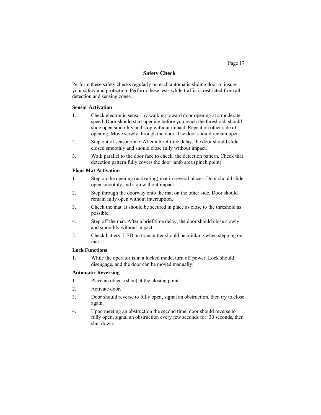## **Safety Check**

Perform these safety checks regularly on each automatic sliding door to insure your safety and protection. Perform these tests while traffic is restricted from all detection and sensing zones.

## **Sensor Activation**

- 1. Check electronic sensor by walking toward door opening at a moderate speed. Door should start opening before you reach the threshold, should slide open smoothly and stop without impact. Repeat on other side of opening. Move slowly through the door. The door should remain open.
- 2. Step out of sensor zone. After a brief time delay, the door should slide closed smoothly and should close fully without impact.
- 3. Walk parallel to the door face to check the detection pattern. Check that detection pattern fully covers the door jamb area (pinch point).

## **Floor Mat Activation**

- 1. Step on the opening (activating) mat in several places. Door should slide open smoothly and stop without impact.
- 2. Step through the doorway onto the mat on the other side. Door should remain fully open without interruption.
- 3. Check the mat. It should be secured in place as close to the threshold as possible.
- 4. Step off the mat. After a brief time delay, the door should close slowly and smoothly without impact.
- 5. Check battery. LED on transmitter should be blinking when stepping on mat.

## **Lock Functions**

1. While the operator is in a locked mode, turn off power. Lock should disengage, and the door can be moved manually.

## **Automatic Reversing**

- 1. Place an object (shoe) at the closing point.
- 2. Activate door.
- 3. Door should reverse to fully open, signal an obstruction, then try to close again.
- 4. Upon meeting an obstruction the second time, door should reverse to fully open, signal an obstruction every few seconds for 30 seconds, then shut down.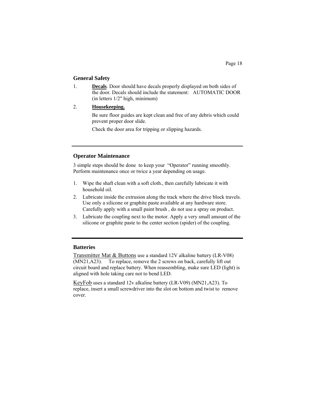## **General Safety**

- 1. **Decals**. Door should have decals properly displayed on both sides of the door. Decals should include the statement: AUTOMATIC DOOR (in letters 1/2" high, minimum)
- 2. **Housekeeping.**

Be sure floor guides are kept clean and free of any debris which could prevent proper door slide.

Check the door area for tripping or slipping hazards.

## **Operator Maintenance**

3 simple steps should be done to keep your "Operator" running smoothly. Perform maintenance once or twice a year depending on usage.

- 1. Wipe the shaft clean with a soft cloth., then carefully lubricate it with household oil.
- 2. Lubricate inside the extrusion along the track where the drive block travels. Use only a silicone or graphite paste available at any hardware store. Carefully apply with a small paint brush , do not use a spray on product.
- 3. Lubricate the coupling next to the motor. Apply a very small amount of the silicone or graphite paste to the center section (spider) of the coupling.

## **Batteries**

Transmitter Mat & Buttons use a standard 12V alkaline battery (LR-V08) (MN21,A23). To replace, remove the 2 screws on back, carefully lift out circuit board and replace battery. When reassembling, make sure LED (light) is aligned with hole taking care not to bend LED.

KeyFob uses a standard 12v alkaline battery (LR-V09) (MN21,A23). To replace, insert a small screwdriver into the slot on bottom and twist to remove cover.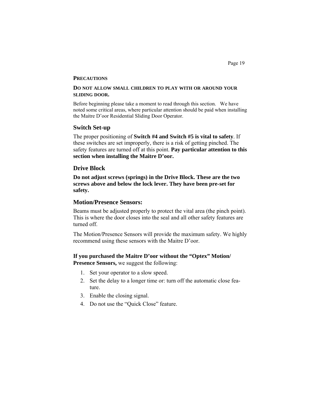#### **PRECAUTIONS**

## **DO NOT ALLOW SMALL CHILDREN TO PLAY WITH OR AROUND YOUR SLIDING DOOR.**

Before beginning please take a moment to read through this section. We have noted some critical areas, where particular attention should be paid when installing the Maitre D'oor Residential Sliding Door Operator.

## **Switch Set-up**

The proper positioning of **Switch #4 and Switch #5 is vital to safety**. If these switches are set improperly, there is a risk of getting pinched. The safety features are turned off at this point. **Pay particular attention to this section when installing the Maitre D'oor.** 

## **Drive Block**

**Do not adjust screws (springs) in the Drive Block. These are the two screws above and below the lock lever. They have been pre-set for safety.** 

## **Motion/Presence Sensors:**

Beams must be adjusted properly to protect the vital area (the pinch point). This is where the door closes into the seal and all other safety features are turned off.

The Motion/Presence Sensors will provide the maximum safety. We highly recommend using these sensors with the Maitre D'oor.

## **If you purchased the Maitre D'oor without the "Optex" Motion/ Presence Sensors,** we suggest the following:

- 1. Set your operator to a slow speed.
- 2. Set the delay to a longer time or: turn off the automatic close feature.
- 3. Enable the closing signal.
- 4. Do not use the "Quick Close" feature.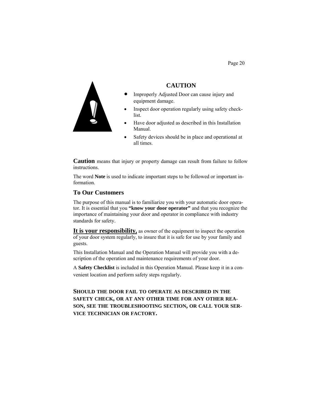

**CAUTION** 

- Improperly Adjusted Door can cause injury and equipment damage.
- Inspect door operation regularly using safety checklist.
- Have door adjusted as described in this Installation Manual.
- Safety devices should be in place and operational at all times.

**Caution** means that injury or property damage can result from failure to follow instructions.

The word **Note** is used to indicate important steps to be followed or important information.

## **To Our Customers**

The purpose of this manual is to familiarize you with your automatic door operator. It is essential that you **"know your door operator"** and that you recognize the importance of maintaining your door and operator in compliance with industry standards for safety.

It is **your responsibility**, as owner of the equipment to inspect the operation of your door system regularly, to insure that it is safe for use by your family and guests.

This Installation Manual and the Operation Manual will provide you with a description of the operation and maintenance requirements of your door.

A **Safety Checklist** is included in this Operation Manual. Please keep it in a convenient location and perform safety steps regularly.

**SHOULD THE DOOR FAIL TO OPERATE AS DESCRIBED IN THE SAFETY CHECK, OR AT ANY OTHER TIME FOR ANY OTHER REA-SON, SEE THE TROUBLESHOOTING SECTION, OR CALL YOUR SER-VICE TECHNICIAN OR FACTORY.** 

Page 20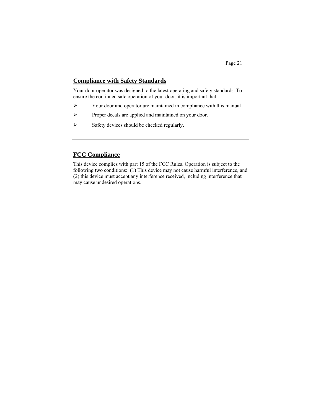## **Compliance with Safety Standards**

Your door operator was designed to the latest operating and safety standards. To ensure the continued safe operation of your door, it is important that:

- Your door and operator are maintained in compliance with this manual
- $\triangleright$  Proper decals are applied and maintained on your door.
- $\triangleright$  Safety devices should be checked regularly.

## **FCC Compliance**

This device complies with part 15 of the FCC Rules. Operation is subject to the following two conditions: (1) This device may not cause harmful interference, and (2) this device must accept any interference received, including interference that may cause undesired operations.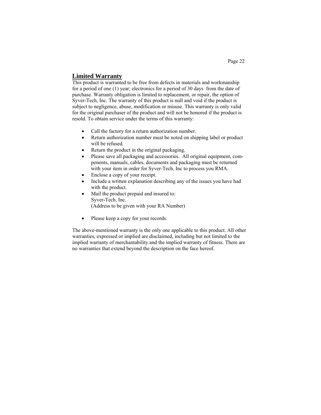## **Limited Warranty**

This product is warranted to be free from defects in materials and workmanship for a period of one (1) year; electronics for a period of 30 days from the date of purchase. Warranty obligation is limited to replacement, or repair, the option of Syver-Tech, Inc. The warranty of this product is null and void if the product is subject to negligence, abuse, modification or misuse. This warranty is only valid for the original purchaser of the product and will not be honored if the product is resold. To obtain service under the terms of this warranty:

- Call the factory for a return authorization number.
- Return authorization number must be noted on shipping label or product will be refused.
- Return the product in the original packaging.
- Please save all packaging and accessories. All original equipment, components, manuals, cables, documents and packaging must be returned with your item in order for Syver-Tech, Inc to process you RMA.
- Enclose a copy of your receipt.
- Include a written explanation describing any of the issues you have had with the product.
- Mail the product prepaid and insured to: Syver-Tech, Inc. (Address to be given with your RA Number)
- Please keep a copy for your records.

The above-mentioned warranty is the only one applicable to this product. All other warranties, expressed or implied are disclaimed, including but not limited to the implied warranty of merchantability and the implied warranty of fitness. There are no warranties that extend beyond the description on the face hereof.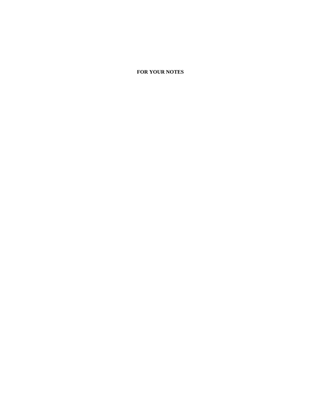## **FOR YOUR NOTES**